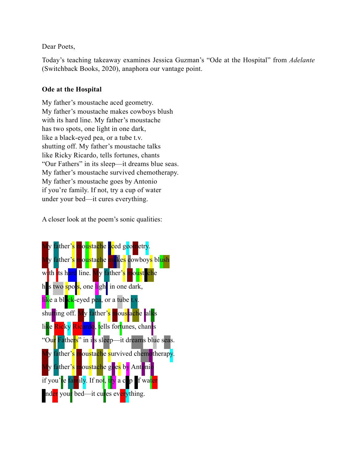Dear Poets,

Today's teaching takeaway examines Jessica Guzman's "Ode at the Hospital" from *Adelante* (Switchback Books, 2020), anaphora our vantage point.

## **Ode at the Hospital**

My father's moustache aced geometry. My father's moustache makes cowboys blush with its hard line. My father's moustache has two spots, one light in one dark, like a black-eyed pea, or a tube t.v. shutting off. My father's moustache talks like Ricky Ricardo, tells fortunes, chants "Our Fathers" in its sleep—it dreams blue seas. My father's moustache survived chemotherapy. My father's moustache goes by Antonio if you're family. If not, try a cup of water under your bed—it cures everything.

A closer look at the poem's sonic qualities:

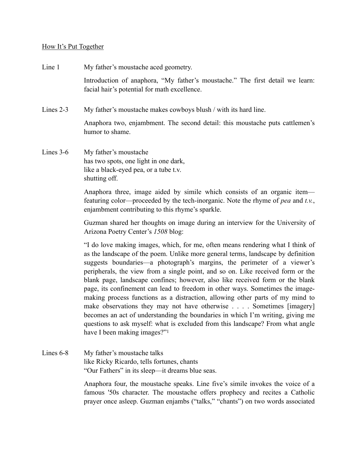## How It's Put Together

Line 1 My father's moustache aced geometry.

Introduction of anaphora, "My father's moustache." The first detail we learn: facial hair's potential for math excellence.

Lines 2-3 My father's moustache makes cowboys blush / with its hard line.

Anaphora two, enjambment. The second detail: this moustache puts cattlemen's humor to shame.

Lines 3-6 My father's moustache has two spots, one light in one dark, like a black-eyed pea, or a tube t.v. shutting off.

> Anaphora three, image aided by simile which consists of an organic item featuring color—proceeded by the tech-inorganic. Note the rhyme of *pea* and *t.v.*, enjambment contributing to this rhyme's sparkle.

> Guzman shared her thoughts on image during an interview for the University of Arizona Poetry Center's *1508* blog:

> "I do love making images, which, for me, often means rendering what I think of as the landscape of the poem. Unlike more general terms, landscape by definition suggests boundaries—a photograph's margins, the perimeter of a viewer's peripherals, the view from a single point, and so on. Like received form or the blank page, landscape confines; however, also like received form or the blank page, its confinement can lead to freedom in other ways. Sometimes the imagemaking process functions as a distraction, allowing other parts of my mind to make observations they may not have otherwise . . . . Sometimes [imagery] becomes an act of understanding the boundaries in which I'm writing, giving me questions to ask myself: what is excluded from this landscape? From what angle have I been making images?"[1](#page-2-0)

Lines 6-8 My father's moustache talks like Ricky Ricardo, tells fortunes, chants "Our Fathers" in its sleep—it dreams blue seas.

> <span id="page-1-0"></span>Anaphora four, the moustache speaks. Line five's simile invokes the voice of a famous '50s character. The moustache offers prophecy and recites a Catholic prayer once asleep. Guzman enjambs ("talks," "chants") on two words associated